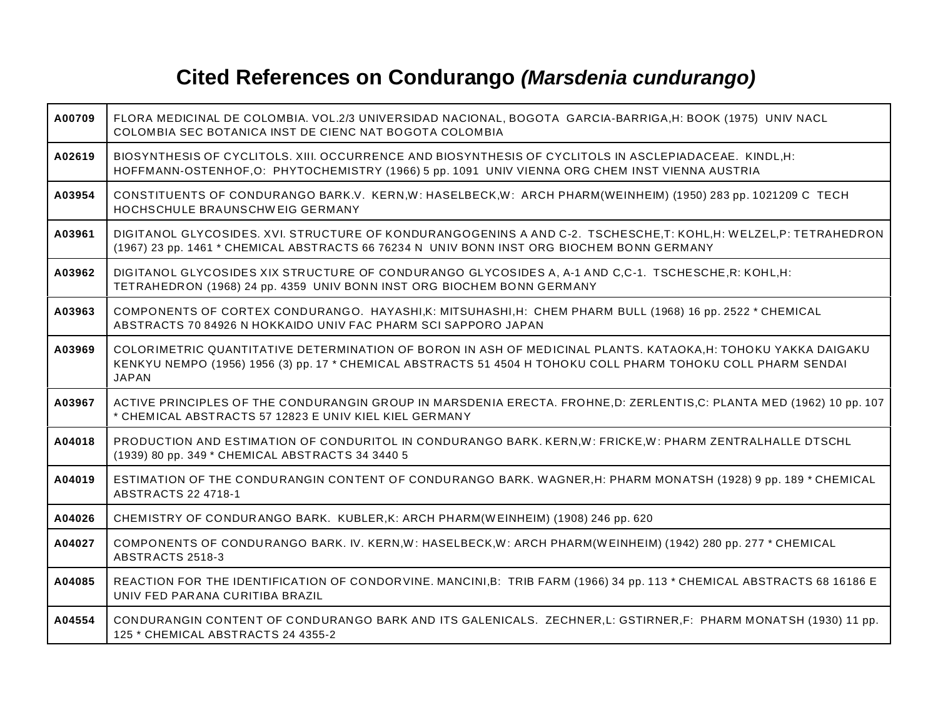## **Cited References on Condurango** *(Marsdenia cundurango)*

| A00709 | FLORA MEDICINAL DE COLOMBIA. VOL.2/3 UNIVERSIDAD NACIONAL, BOGOTA GARCIA-BARRIGA, H: BOOK (1975) UNIV NACL<br>COLOMBIA SEC BOTANICA INST DE CIENC NAT BOGOTA COLOMBIA                                                                          |
|--------|------------------------------------------------------------------------------------------------------------------------------------------------------------------------------------------------------------------------------------------------|
| A02619 | BIOSYNTHESIS OF CYCLITOLS. XIII. OCCURRENCE AND BIOSYNTHESIS OF CYCLITOLS IN ASCLEPIADACEAE. KINDL, H:<br>HOFFMANN-OSTENHOF, O: PHYTOCHEMISTRY (1966) 5 pp. 1091 UNIV VIENNA ORG CHEM INST VIENNA AUSTRIA                                      |
| A03954 | CONSTITUENTS OF CONDURANGO BARK.V. KERN,W: HASELBECK,W: ARCH PHARM(WEINHEIM) (1950) 283 pp. 1021209 C TECH<br>HOCHSCHULE BRAUNSCHWEIG GERMANY                                                                                                  |
| A03961 | DIGITANOL GLYCOSIDES. XVI. STRUCTURE OF KONDURANGOGENINS A AND C-2. TSCHESCHE,T: KOHL,H: WELZEL,P: TETRAHEDRON<br>(1967) 23 pp. 1461 * CHEMICAL ABSTRACTS 66 76234 N UNIV BONN INST ORG BIOCHEM BONN GERMANY                                   |
| A03962 | DIGITANOL GLYCOSIDES XIX STRUCTURE OF CONDURANGO GLYCOSIDES A, A-1 AND C,C-1. TSCHESCHE, R: KOHL, H:<br>TETRAHEDRON (1968) 24 pp. 4359 UNIV BONN INST ORG BIOCHEM BONN GERMANY                                                                 |
| A03963 | COMPONENTS OF CORTEX CONDURANGO. HAYASHI, K: MITSUHASHI, H: CHEM PHARM BULL (1968) 16 pp. 2522 * CHEMICAL<br>ABSTRACTS 70 84926 N HOKKAIDO UNIV FAC PHARM SCI SAPPORO JAPAN                                                                    |
| A03969 | COLORIMETRIC QUANTITATIVE DETERMINATION OF BORON IN ASH OF MEDICINAL PLANTS. KATAOKA, H: TOHOKU YAKKA DAIGAKU<br>KENKYU NEMPO (1956) 1956 (3) pp. 17 * CHEMICAL ABSTRACTS 51 4504 H TOHOKU COLL PHARM TOHOKU COLL PHARM SENDAI<br><b>JAPAN</b> |
| A03967 | ACTIVE PRINCIPLES OF THE CONDURANGIN GROUP IN MARSDENIA ERECTA. FROHNE, D: ZERLENTIS, C: PLANTA MED (1962) 10 pp. 107<br>* CHEMICAL ABSTRACTS 57 12823 E UNIV KIEL KIEL GERMANY                                                                |
| A04018 | PRODUCTION AND ESTIMATION OF CONDURITOL IN CONDURANGO BARK. KERN, W: FRICKE, W: PHARM ZENTRALHALLE DTSCHL<br>(1939) 80 pp. 349 * CHEMICAL ABSTRACTS 34 3440 5                                                                                  |
| A04019 | ESTIMATION OF THE CONDURANGIN CONTENT OF CONDURANGO BARK. WAGNER, H: PHARM MONATSH (1928) 9 pp. 189 * CHEMICAL<br>ABSTRACTS 22 4718-1                                                                                                          |
| A04026 | CHEMISTRY OF CONDURANGO BARK. KUBLER, K: ARCH PHARM(WEINHEIM) (1908) 246 pp. 620                                                                                                                                                               |
| A04027 | COMPONENTS OF CONDURANGO BARK. IV. KERN, W: HASELBECK, W: ARCH PHARM (WEINHEIM) (1942) 280 pp. 277 * CHEMICAL<br>ABSTRACTS 2518-3                                                                                                              |
| A04085 | REACTION FOR THE IDENTIFICATION OF CONDORVINE. MANCINI,B: TRIB FARM (1966) 34 pp. 113 * CHEMICAL ABSTRACTS 68 16186 E<br>UNIV FED PARANA CURITIBA BRAZIL                                                                                       |
| A04554 | CONDURANGIN CONTENT OF CONDURANGO BARK AND ITS GALENICALS. ZECHNER, L: GSTIRNER, F: PHARM MONATSH (1930) 11 pp.<br>125 * CHEMICAL ABSTRACTS 24 4355-2                                                                                          |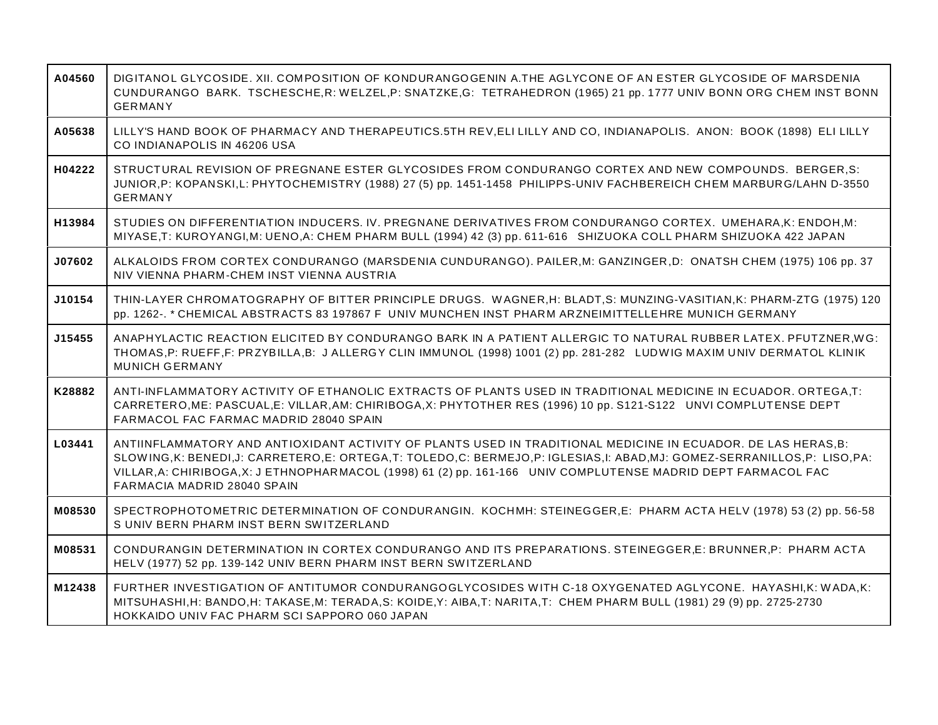| A04560 | DIGITANOL GLYCOSIDE. XII. COMPOSITION OF KONDURANGOGENIN A.THE AGLYCONE OF AN ESTER GLYCOSIDE OF MARSDENIA<br>CUNDURANGO BARK. TSCHESCHE,R: WELZEL,P: SNATZKE,G: TETRAHEDRON (1965) 21 pp. 1777 UNIV BONN ORG CHEM INST BONN<br><b>GERMANY</b>                                                                                                                                                 |
|--------|------------------------------------------------------------------------------------------------------------------------------------------------------------------------------------------------------------------------------------------------------------------------------------------------------------------------------------------------------------------------------------------------|
| A05638 | LILLY'S HAND BOOK OF PHARMACY AND THERAPEUTICS.5TH REV, ELI LILLY AND CO, INDIANAPOLIS. ANON: BOOK (1898) ELI LILLY<br>CO INDIANAPOLIS IN 46206 USA                                                                                                                                                                                                                                            |
| H04222 | STRUCTURAL REVISION OF PREGNANE ESTER GLYCOSIDES FROM CONDURANGO CORTEX AND NEW COMPOUNDS. BERGER, S:<br>JUNIOR, P: KOPANSKI, L: PHYTOCHEMISTRY (1988) 27 (5) pp. 1451-1458 PHILIPPS-UNIV FACHBEREICH CHEM MARBURG/LAHN D-3550<br><b>GERMANY</b>                                                                                                                                               |
| H13984 | STUDIES ON DIFFERENTIATION INDUCERS. IV. PREGNANE DERIVATIVES FROM CONDURANGO CORTEX. UMEHARA, K: ENDOH, M:<br>MIYASE,T: KUROYANGI,M: UENO,A: CHEM PHARM BULL (1994) 42 (3) pp. 611-616 SHIZUOKA COLL PHARM SHIZUOKA 422 JAPAN                                                                                                                                                                 |
| J07602 | ALKALOIDS FROM CORTEX CONDURANGO (MARSDENIA CUNDURANGO). PAILER, M: GANZINGER, D: ONATSH CHEM (1975) 106 pp. 37<br>NIV VIENNA PHARM-CHEM INST VIENNA AUSTRIA                                                                                                                                                                                                                                   |
| J10154 | THIN-LAYER CHROMATOGRAPHY OF BITTER PRINCIPLE DRUGS. WAGNER,H: BLADT,S: MUNZING-VASITIAN,K: PHARM-ZTG (1975) 120<br>pp. 1262-. * CHEMICAL ABSTRACTS 83 197867 F UNIV MUNCHEN INST PHARM ARZNEIMITTELLEHRE MUNICH GERMANY                                                                                                                                                                       |
| J15455 | ANAPHYLACTIC REACTION ELICITED BY CONDURANGO BARK IN A PATIENT ALLERGIC TO NATURAL RUBBER LATEX. PFUTZNER, WG:<br>THOMAS,P: RUEFF,F: PRZYBILLA,B: JALLERGY CLIN IMMUNOL (1998) 1001 (2) pp. 281-282 LUDWIG MAXIM UNIV DERMATOL KLINIK<br><b>MUNICH GERMANY</b>                                                                                                                                 |
| K28882 | ANTI-INFLAMMATORY ACTIVITY OF ETHANOLIC EXTRACTS OF PLANTS USED IN TRADITIONAL MEDICINE IN ECUADOR. ORTEGA,T:<br>CARRETERO, ME: PASCUAL, E: VILLAR, AM: CHIRIBOGA, X: PHYTOTHER RES (1996) 10 pp. S121-S122 UNVI COMPLUTENSE DEPT<br>FARMACOL FAC FARMAC MADRID 28040 SPAIN                                                                                                                    |
| L03441 | ANTIINFLAMMATORY AND ANTIOXIDANT ACTIVITY OF PLANTS USED IN TRADITIONAL MEDICINE IN ECUADOR. DE LAS HERAS, B:<br>SLOWING, K: BENEDI, J: CARRETERO, E: ORTEGA, T: TOLEDO, C: BERMEJO, P: IGLESIAS, I: ABAD, MJ: GOMEZ-SERRANILLOS, P: LISO, PA:<br>VILLAR, A: CHIRIBOGA, X: J ETHNOPHARMACOL (1998) 61 (2) pp. 161-166 UNIV COMPLUTENSE MADRID DEPT FARMACOL FAC<br>FARMACIA MADRID 28040 SPAIN |
| M08530 | SPECTROPHOTOMETRIC DETERMINATION OF CONDURANGIN. KOCHMH: STEINEGGER, E: PHARM ACTA HELV (1978) 53 (2) pp. 56-58<br>S UNIV BERN PHARM INST BERN SWITZERLAND                                                                                                                                                                                                                                     |
| M08531 | CONDURANGIN DETERMINATION IN CORTEX CONDURANGO AND ITS PREPARATIONS. STEINEGGER,E: BRUNNER,P: PHARM ACTA<br>HELV (1977) 52 pp. 139-142 UNIV BERN PHARM INST BERN SWITZERLAND                                                                                                                                                                                                                   |
| M12438 | FURTHER INVESTIGATION OF ANTITUMOR CONDURANGOGLYCOSIDES WITH C-18 OXYGENATED AGLYCONE. HAYASHI, K: WADA, K:<br>MITSUHASHI,H: BANDO,H: TAKASE,M: TERADA,S: KOIDE,Y: AIBA,T: NARITA,T: CHEM PHARM BULL (1981) 29 (9) pp. 2725-2730<br>HOKKAIDO UNIV FAC PHARM SCI SAPPORO 060 JAPAN                                                                                                              |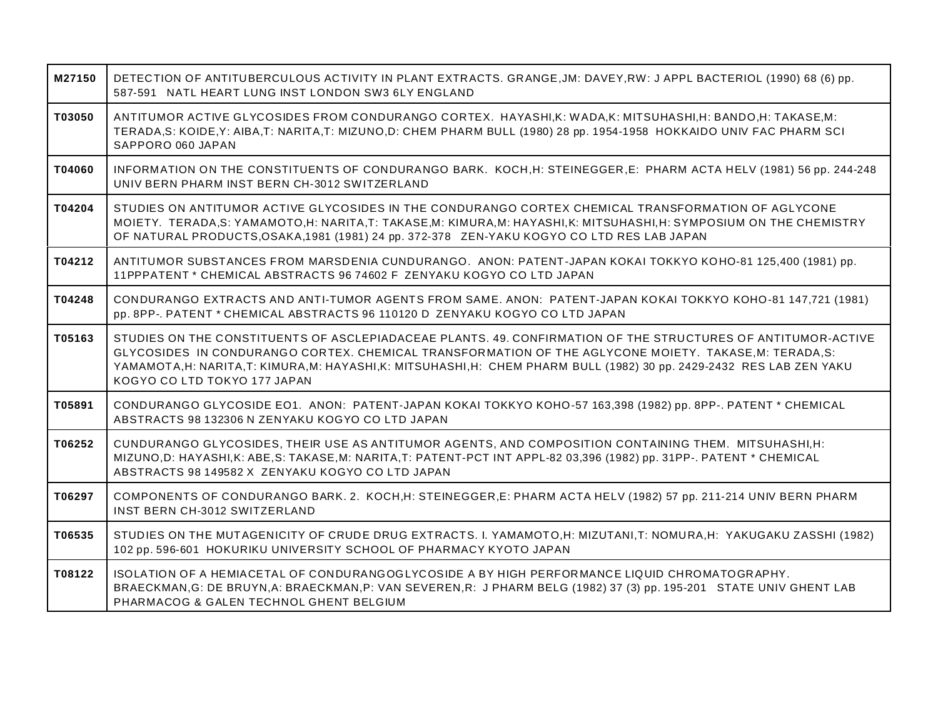| M27150 | DETECTION OF ANTITUBERCULOUS ACTIVITY IN PLANT EXTRACTS. GRANGE, JM: DAVEY, RW: J APPL BACTERIOL (1990) 68 (6) pp.<br>587-591 NATL HEART LUNG INST LONDON SW3 6LY ENGLAND                                                                                                                                                                                                        |
|--------|----------------------------------------------------------------------------------------------------------------------------------------------------------------------------------------------------------------------------------------------------------------------------------------------------------------------------------------------------------------------------------|
| T03050 | ANTITUMOR ACTIVE GLYCOSIDES FROM CONDURANGO CORTEX. HAYASHI,K: WADA,K: MITSUHASHI,H: BANDO,H: TAKASE,M:<br>TERADA,S: KOIDE,Y: AIBA,T: NARITA,T: MIZUNO,D: CHEM PHARM BULL (1980) 28 pp. 1954-1958 HOKKAIDO UNIV FAC PHARM SCI<br>SAPPORO 060 JAPAN                                                                                                                               |
| T04060 | INFORMATION ON THE CONSTITUENTS OF CONDURANGO BARK. KOCH, H: STEINEGGER, E: PHARM ACTA HELV (1981) 56 pp. 244-248<br>UNIV BERN PHARM INST BERN CH-3012 SWITZERLAND                                                                                                                                                                                                               |
| T04204 | STUDIES ON ANTITUMOR ACTIVE GLYCOSIDES IN THE CONDURANGO CORTEX CHEMICAL TRANSFORMATION OF AGLYCONE<br>MOIETY. TERADA,S: YAMAMOTO,H: NARITA,T: TAKASE,M: KIMURA,M: HAYASHI,K: MITSUHASHI,H: SYMPOSIUM ON THE CHEMISTRY<br>OF NATURAL PRODUCTS, OSAKA, 1981 (1981) 24 pp. 372-378 ZEN-YAKU KOGYO CO LTD RES LAB JAPAN                                                             |
| T04212 | ANTITUMOR SUBSTANCES FROM MARSDENIA CUNDURANGO. ANON: PATENT-JAPAN KOKAI TOKKYO KOHO-81 125,400 (1981) pp.<br>11PPPATENT * CHEMICAL ABSTRACTS 96 74602 F ZENYAKU KOGYO CO LTD JAPAN                                                                                                                                                                                              |
| T04248 | CONDURANGO EXTRACTS AND ANTI-TUMOR AGENTS FROM SAME. ANON: PATENT-JAPAN KOKAI TOKKYO KOHO-81 147,721 (1981)<br>pp. 8PP-. PATENT * CHEMICAL ABSTRACTS 96 110120 D ZENYAKU KOGYO CO LTD JAPAN                                                                                                                                                                                      |
| T05163 | STUDIES ON THE CONSTITUENTS OF ASCLEPIADACEAE PLANTS. 49. CONFIRMATION OF THE STRUCTURES OF ANTITUMOR-ACTIVE<br>GLYCOSIDES IN CONDURANGO CORTEX. CHEMICAL TRANSFORMATION OF THE AGLYCONE MOIETY. TAKASE, M: TERADA, S:<br>YAMAMOTA, H: NARITA, T: KIMURA, M: HAYASHI, K: MITSUHASHI, H: CHEM PHARM BULL (1982) 30 pp. 2429-2432 RES LAB ZEN YAKU<br>KOGYO CO LTD TOKYO 177 JAPAN |
| T05891 | CONDURANGO GLYCOSIDE EO1. ANON: PATENT-JAPAN KOKAI TOKKYO KOHO-57 163,398 (1982) pp. 8PP-. PATENT * CHEMICAL<br>ABSTRACTS 98 132306 N ZENYAKU KOGYO CO LTD JAPAN                                                                                                                                                                                                                 |
| T06252 | CUNDURANGO GLYCOSIDES, THEIR USE AS ANTITUMOR AGENTS, AND COMPOSITION CONTAINING THEM. MITSUHASHI, H:<br>MIZUNO, D: HAYASHI, K: ABE, S: TAKASE, M: NARITA, T: PATENT-PCT INT APPL-82 03,396 (1982) pp. 31PP-. PATENT * CHEMICAL<br>ABSTRACTS 98 149582 X ZENYAKU KOGYO CO LTD JAPAN                                                                                              |
| T06297 | COMPONENTS OF CONDURANGO BARK. 2. KOCH, H: STEINEGGER, E: PHARM ACTA HELV (1982) 57 pp. 211-214 UNIV BERN PHARM<br>INST BERN CH-3012 SWITZERLAND                                                                                                                                                                                                                                 |
| T06535 | STUDIES ON THE MUTAGENICITY OF CRUDE DRUG EXTRACTS. I. YAMAMOTO,H: MIZUTANI,T: NOMURA,H: YAKUGAKU ZASSHI (1982)<br>102 pp. 596-601 HOKURIKU UNIVERSITY SCHOOL OF PHARMACY KYOTO JAPAN                                                                                                                                                                                            |
| T08122 | ISOLATION OF A HEMIACETAL OF CONDURANGOGLYCOSIDE A BY HIGH PERFORMANCE LIQUID CHROMATOGRAPHY.<br>BRAECKMAN, G: DE BRUYN, A: BRAECKMAN, P: VAN SEVEREN, R: J PHARM BELG (1982) 37 (3) pp. 195-201 STATE UNIV GHENT LAB<br>PHARMACOG & GALEN TECHNOL GHENT BELGIUM                                                                                                                 |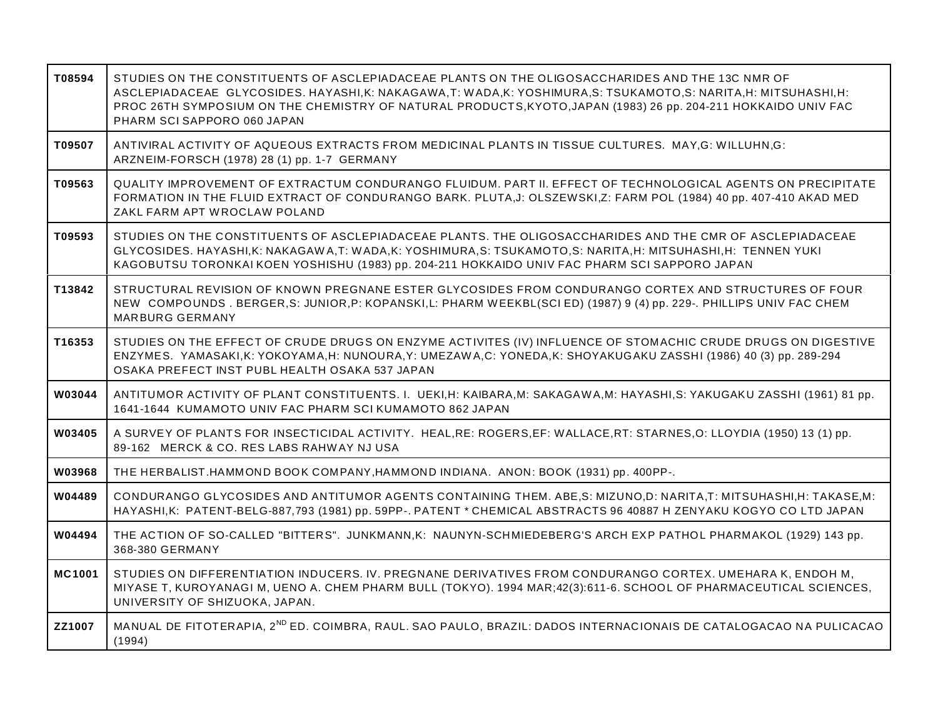| T08594        | STUDIES ON THE CONSTITUENTS OF ASCLEPIADACEAE PLANTS ON THE OLIGOSACCHARIDES AND THE 13C NMR OF<br>ASCLEPIADACEAE GLYCOSIDES. HAYASHI, K: NAKAGAWA, T: WADA, K: YOSHIMURA, S: TSUKAMOTO, S: NARITA, H: MITSUHASHI, H:<br>PROC 26TH SYMPOSIUM ON THE CHEMISTRY OF NATURAL PRODUCTS, KYOTO, JAPAN (1983) 26 pp. 204-211 HOKKAIDO UNIV FAC<br>PHARM SCI SAPPORO 060 JAPAN |
|---------------|------------------------------------------------------------------------------------------------------------------------------------------------------------------------------------------------------------------------------------------------------------------------------------------------------------------------------------------------------------------------|
| T09507        | ANTIVIRAL ACTIVITY OF AQUEOUS EXTRACTS FROM MEDICINAL PLANTS IN TISSUE CULTURES. MAY, G: WILLUHN, G:<br>ARZNEIM-FORSCH (1978) 28 (1) pp. 1-7 GERMANY                                                                                                                                                                                                                   |
| T09563        | QUALITY IMPROVEMENT OF EXTRACTUM CONDURANGO FLUIDUM. PART II. EFFECT OF TECHNOLOGICAL AGENTS ON PRECIPITATE<br>FORMATION IN THE FLUID EXTRACT OF CONDURANGO BARK. PLUTA, J: OLSZEWSKI, Z: FARM POL (1984) 40 pp. 407-410 AKAD MED<br>ZAKL FARM APT WROCLAW POLAND                                                                                                      |
| T09593        | STUDIES ON THE CONSTITUENTS OF ASCLEPIADACEAE PLANTS. THE OLIGOSACCHARIDES AND THE CMR OF ASCLEPIADACEAE<br>GLYCOSIDES. HAYASHI,K: NAKAGAWA,T: WADA,K: YOSHIMURA,S: TSUKAMOTO,S: NARITA,H: MITSUHASHI,H: TENNEN YUKI<br>KAGOBUTSU TORONKAI KOEN YOSHISHU (1983) pp. 204-211 HOKKAIDO UNIV FAC PHARM SCI SAPPORO JAPAN                                                  |
| T13842        | STRUCTURAL REVISION OF KNOWN PREGNANE ESTER GLYCOSIDES FROM CONDURANGO CORTEX AND STRUCTURES OF FOUR<br>NEW COMPOUNDS. BERGER,S: JUNIOR,P: KOPANSKI,L: PHARM WEEKBL(SCI ED) (1987) 9 (4) pp. 229-. PHILLIPS UNIV FAC CHEM<br><b>MARBURG GERMANY</b>                                                                                                                    |
| T16353        | STUDIES ON THE EFFECT OF CRUDE DRUGS ON ENZYME ACTIVITES (IV) INFLUENCE OF STOMACHIC CRUDE DRUGS ON DIGESTIVE<br>ENZYMES. YAMASAKI,K: YOKOYAMA,H: NUNOURA,Y: UMEZAWA,C: YONEDA,K: SHOYAKUGAKU ZASSHI (1986) 40 (3) pp. 289-294<br>OSAKA PREFECT INST PUBL HEALTH OSAKA 537 JAPAN                                                                                       |
| W03044        | ANTITUMOR ACTIVITY OF PLANT CONSTITUENTS. I. UEKI,H: KAIBARA,M: SAKAGAWA,M: HAYASHI,S: YAKUGAKU ZASSHI (1961) 81 pp.<br>1641-1644 KUMAMOTO UNIV FAC PHARM SCI KUMAMOTO 862 JAPAN                                                                                                                                                                                       |
| W03405        | A SURVEY OF PLANTS FOR INSECTICIDAL ACTIVITY. HEAL,RE: ROGERS,EF: WALLACE,RT: STARNES,O: LLOYDIA (1950) 13 (1) pp.<br>89-162 MERCK & CO. RES LABS RAHWAY NJ USA                                                                                                                                                                                                        |
| W03968        | THE HERBALIST.HAMMOND BOOK COMPANY,HAMMOND INDIANA. ANON: BOOK (1931) pp. 400PP-.                                                                                                                                                                                                                                                                                      |
| W04489        | CONDURANGO GLYCOSIDES AND ANTITUMOR AGENTS CONTAINING THEM. ABE,S: MIZUNO,D: NARITA,T: MITSUHASHI,H: TAKASE,M:<br>HAYASHI,K: PATENT-BELG-887,793 (1981) pp. 59PP-. PATENT * CHEMICAL ABSTRACTS 96 40887 H ZENYAKU KOGYO CO LTD JAPAN                                                                                                                                   |
| W04494        | THE ACTION OF SO-CALLED "BITTERS". JUNKMANN,K: NAUNYN-SCHMIEDEBERG'S ARCH EXP PATHOL PHARMAKOL (1929) 143 pp.<br>368-380 GERMANY                                                                                                                                                                                                                                       |
| <b>MC1001</b> | STUDIES ON DIFFERENTIATION INDUCERS. IV. PREGNANE DERIVATIVES FROM CONDURANGO CORTEX. UMEHARA K, ENDOH M,<br>MIYASE T, KUROYANAGI M, UENO A. CHEM PHARM BULL (TOKYO). 1994 MAR;42(3):611-6. SCHOOL OF PHARMACEUTICAL SCIENCES,<br>UNIVERSITY OF SHIZUOKA, JAPAN.                                                                                                       |
| ZZ1007        | MANUAL DE FITOTERAPIA, 2 <sup>ND</sup> ED. COIMBRA, RAUL. SAO PAULO, BRAZIL: DADOS INTERNACIONAIS DE CATALOGACAO NA PULICACAO<br>(1994)                                                                                                                                                                                                                                |